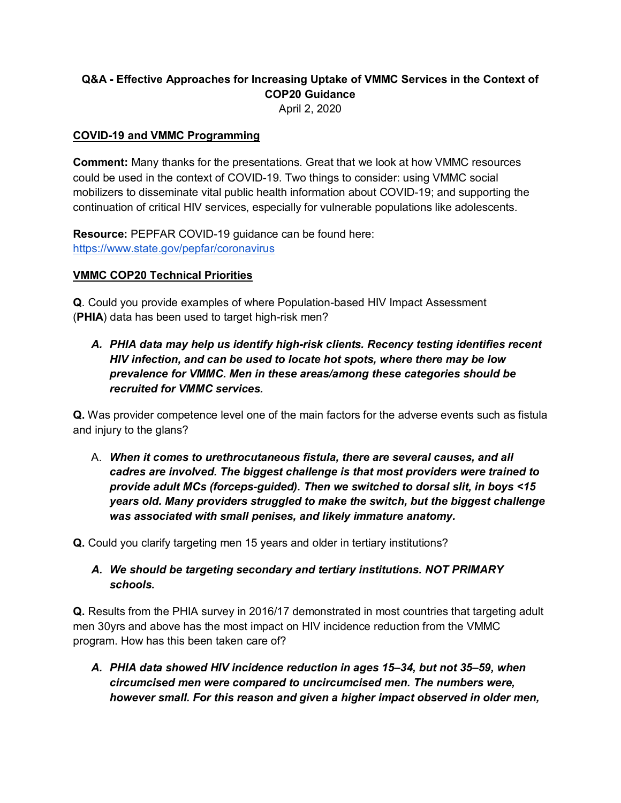# **Q&A - Effective Approaches for Increasing Uptake of VMMC Services in the Context of COP20 Guidance**

April 2, 2020

#### **COVID-19 and VMMC Programming**

**Comment:** Many thanks for the presentations. Great that we look at how VMMC resources could be used in the context of COVID-19. Two things to consider: using VMMC social mobilizers to disseminate vital public health information about COVID-19; and supporting the continuation of critical HIV services, especially for vulnerable populations like adolescents.

**Resource:** PEPFAR COVID-19 guidance can be found here: <https://www.state.gov/pepfar/coronavirus>

#### **VMMC COP20 Technical Priorities**

**Q**. Could you provide examples of where Population-based HIV Impact Assessment (**PHIA**) data has been used to target high-risk men?

*A. PHIA data may help us identify high-risk clients. Recency testing identifies recent HIV infection, and can be used to locate hot spots, where there may be low prevalence for VMMC. Men in these areas/among these categories should be recruited for VMMC services.* 

**Q.** Was provider competence level one of the main factors for the adverse events such as fistula and injury to the glans?

A. *When it comes to urethrocutaneous fistula, there are several causes, and all cadres are involved. The biggest challenge is that most providers were trained to provide adult MCs (forceps-guided). Then we switched to dorsal slit, in boys <15 years old. Many providers struggled to make the switch, but the biggest challenge was associated with small penises, and likely immature anatomy.* 

**Q.** Could you clarify targeting men 15 years and older in tertiary institutions?

*A. We should be targeting secondary and tertiary institutions. NOT PRIMARY schools.* 

**Q.** Results from the PHIA survey in 2016/17 demonstrated in most countries that targeting adult men 30yrs and above has the most impact on HIV incidence reduction from the VMMC program. How has this been taken care of?

*A. PHIA data showed HIV incidence reduction in ages 15–34, but not 35–59, when circumcised men were compared to uncircumcised men. The numbers were, however small. For this reason and given a higher impact observed in older men,*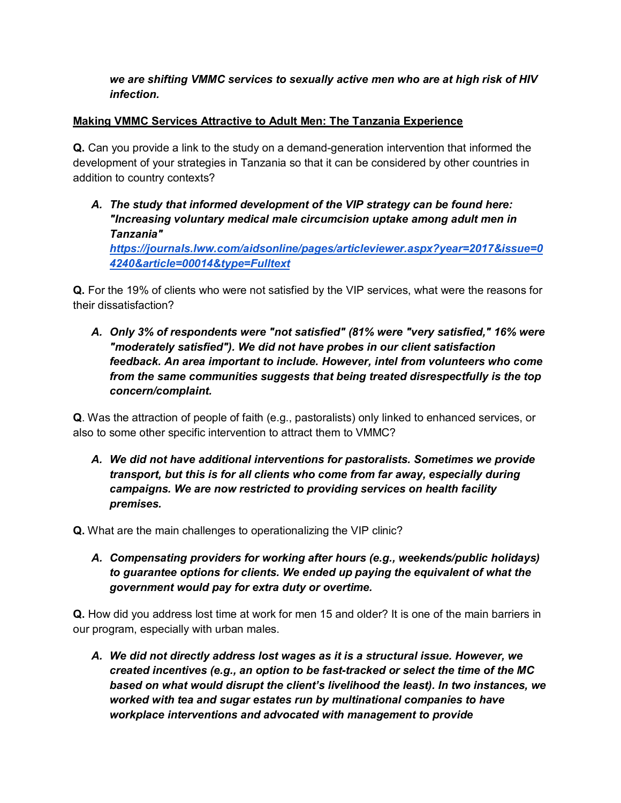## *we are shifting VMMC services to sexually active men who are at high risk of HIV infection.*

### **Making VMMC Services Attractive to Adult Men: The Tanzania Experience**

**Q.** Can you provide a link to the study on a demand-generation intervention that informed the development of your strategies in Tanzania so that it can be considered by other countries in addition to country contexts?

*A. The study that informed development of the VIP strategy can be found here: "Increasing voluntary medical male circumcision uptake among adult men in Tanzania" [https://journals.lww.com/aidsonline/pages/articleviewer.aspx?year=2017&issue=0](https://journals.lww.com/aidsonline/pages/articleviewer.aspx?year=2017&issue=04240&article=00014&type=Fulltext) [4240&article=00014&type=Fulltext](https://journals.lww.com/aidsonline/pages/articleviewer.aspx?year=2017&issue=04240&article=00014&type=Fulltext)*

**Q.** For the 19% of clients who were not satisfied by the VIP services, what were the reasons for their dissatisfaction?

*A. Only 3% of respondents were "not satisfied" (81% were "very satisfied," 16% were "moderately satisfied"). We did not have probes in our client satisfaction feedback. An area important to include. However, intel from volunteers who come from the same communities suggests that being treated disrespectfully is the top concern/complaint.*

**Q**. Was the attraction of people of faith (e.g., pastoralists) only linked to enhanced services, or also to some other specific intervention to attract them to VMMC?

*A. We did not have additional interventions for pastoralists. Sometimes we provide transport, but this is for all clients who come from far away, especially during campaigns. We are now restricted to providing services on health facility premises.*

**Q.** What are the main challenges to operationalizing the VIP clinic?

*A. Compensating providers for working after hours (e.g., weekends/public holidays) to guarantee options for clients. We ended up paying the equivalent of what the government would pay for extra duty or overtime.*

**Q.** How did you address lost time at work for men 15 and older? It is one of the main barriers in our program, especially with urban males.

*A. We did not directly address lost wages as it is a structural issue. However, we created incentives (e.g., an option to be fast-tracked or select the time of the MC based on what would disrupt the client's livelihood the least). In two instances, we worked with tea and sugar estates run by multinational companies to have workplace interventions and advocated with management to provide*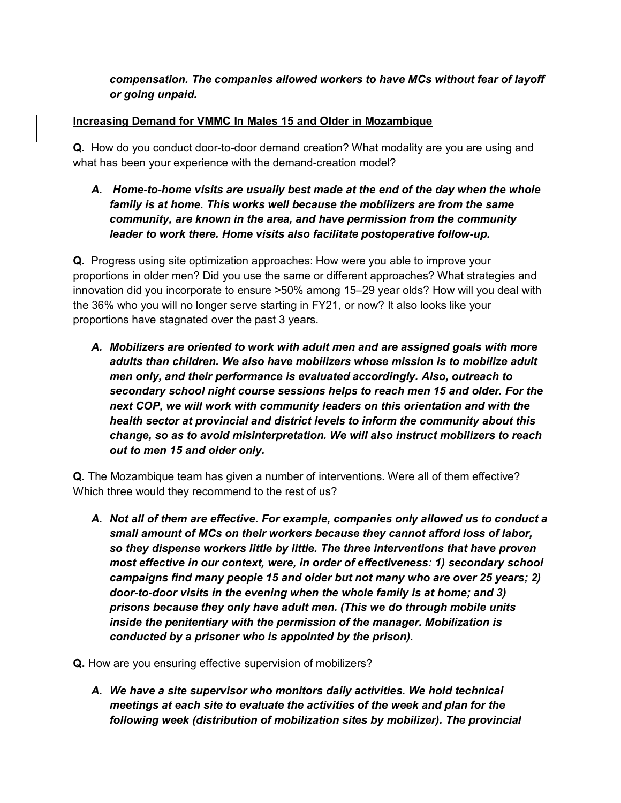## *compensation. The companies allowed workers to have MCs without fear of layoff or going unpaid.*

#### **Increasing Demand for VMMC In Males 15 and Older in Mozambique**

**Q.** How do you conduct door-to-door demand creation? What modality are you are using and what has been your experience with the demand-creation model?

*A. Home-to-home visits are usually best made at the end of the day when the whole family is at home. This works well because the mobilizers are from the same community, are known in the area, and have permission from the community leader to work there. Home visits also facilitate postoperative follow-up.* 

**Q.** Progress using site optimization approaches: How were you able to improve your proportions in older men? Did you use the same or different approaches? What strategies and innovation did you incorporate to ensure >50% among 15–29 year olds? How will you deal with the 36% who you will no longer serve starting in FY21, or now? It also looks like your proportions have stagnated over the past 3 years.

*A. Mobilizers are oriented to work with adult men and are assigned goals with more adults than children. We also have mobilizers whose mission is to mobilize adult men only, and their performance is evaluated accordingly. Also, outreach to secondary school night course sessions helps to reach men 15 and older. For the next COP, we will work with community leaders on this orientation and with the health sector at provincial and district levels to inform the community about this change, so as to avoid misinterpretation. We will also instruct mobilizers to reach out to men 15 and older only.*

**Q.** The Mozambique team has given a number of interventions. Were all of them effective? Which three would they recommend to the rest of us?

- *A. Not all of them are effective. For example, companies only allowed us to conduct a small amount of MCs on their workers because they cannot afford loss of labor, so they dispense workers little by little. The three interventions that have proven most effective in our context, were, in order of effectiveness: 1) secondary school campaigns find many people 15 and older but not many who are over 25 years; 2) door-to-door visits in the evening when the whole family is at home; and 3) prisons because they only have adult men. (This we do through mobile units inside the penitentiary with the permission of the manager. Mobilization is conducted by a prisoner who is appointed by the prison).*
- **Q.** How are you ensuring effective supervision of mobilizers?
	- *A. We have a site supervisor who monitors daily activities. We hold technical meetings at each site to evaluate the activities of the week and plan for the following week (distribution of mobilization sites by mobilizer). The provincial*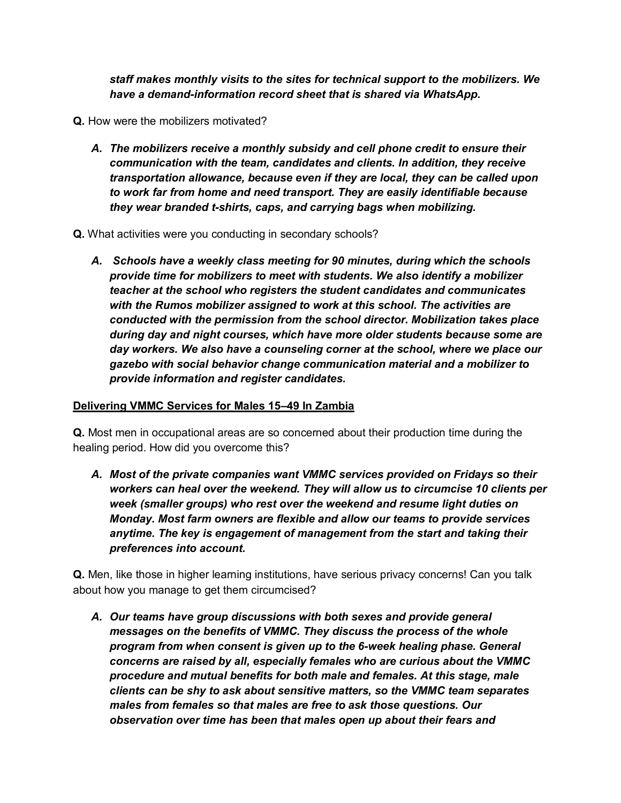*staff makes monthly visits to the sites for technical support to the mobilizers. We have a demand-information record sheet that is shared via WhatsApp.*

- **Q.** How were the mobilizers motivated?
	- *A. The mobilizers receive a monthly subsidy and cell phone credit to ensure their communication with the team, candidates and clients. In addition, they receive transportation allowance, because even if they are local, they can be called upon to work far from home and need transport. They are easily identifiable because they wear branded t-shirts, caps, and carrying bags when mobilizing.*
- **Q.** What activities were you conducting in secondary schools?
	- *A. Schools have a weekly class meeting for 90 minutes, during which the schools provide time for mobilizers to meet with students. We also identify a mobilizer teacher at the school who registers the student candidates and communicates with the Rumos mobilizer assigned to work at this school. The activities are conducted with the permission from the school director. Mobilization takes place during day and night courses, which have more older students because some are day workers. We also have a counseling corner at the school, where we place our gazebo with social behavior change communication material and a mobilizer to provide information and register candidates.*

#### **Delivering VMMC Services for Males 15–49 In Zambia**

**Q.** Most men in occupational areas are so concerned about their production time during the healing period. How did you overcome this?

*A. Most of the private companies want VMMC services provided on Fridays so their workers can heal over the weekend. They will allow us to circumcise 10 clients per week (smaller groups) who rest over the weekend and resume light duties on Monday. Most farm owners are flexible and allow our teams to provide services anytime. The key is engagement of management from the start and taking their preferences into account.*

**Q.** Men, like those in higher learning institutions, have serious privacy concerns! Can you talk about how you manage to get them circumcised?

*A. Our teams have group discussions with both sexes and provide general messages on the benefits of VMMC. They discuss the process of the whole program from when consent is given up to the 6-week healing phase. General concerns are raised by all, especially females who are curious about the VMMC procedure and mutual benefits for both male and females. At this stage, male clients can be shy to ask about sensitive matters, so the VMMC team separates males from females so that males are free to ask those questions. Our observation over time has been that males open up about their fears and*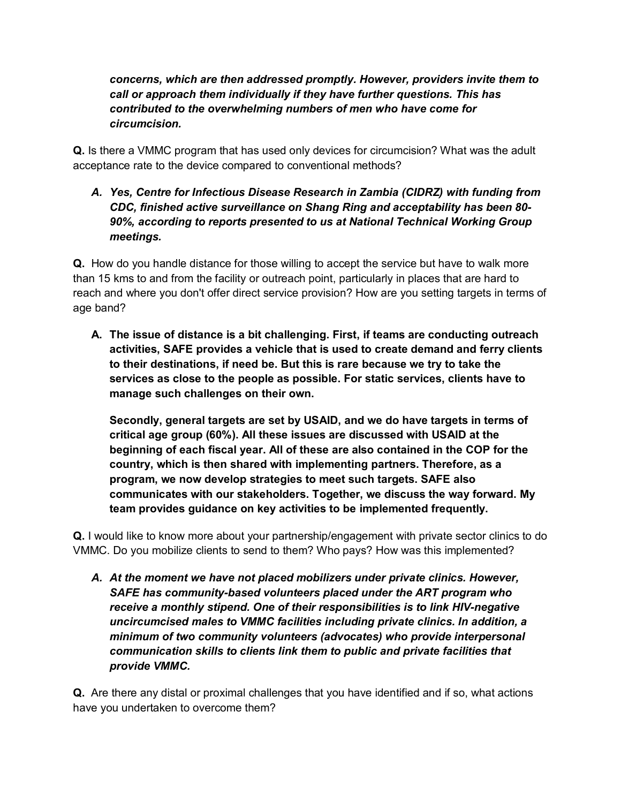*concerns, which are then addressed promptly. However, providers invite them to call or approach them individually if they have further questions. This has contributed to the overwhelming numbers of men who have come for circumcision.* 

**Q.** Is there a VMMC program that has used only devices for circumcision? What was the adult acceptance rate to the device compared to conventional methods?

# *A. Yes, Centre for Infectious Disease Research in Zambia (CIDRZ) with funding from CDC, finished active surveillance on Shang Ring and acceptability has been 80- 90%, according to reports presented to us at National Technical Working Group meetings.*

**Q.** How do you handle distance for those willing to accept the service but have to walk more than 15 kms to and from the facility or outreach point, particularly in places that are hard to reach and where you don't offer direct service provision? How are you setting targets in terms of age band?

**A. The issue of distance is a bit challenging. First, if teams are conducting outreach activities, SAFE provides a vehicle that is used to create demand and ferry clients to their destinations, if need be. But this is rare because we try to take the services as close to the people as possible. For static services, clients have to manage such challenges on their own.**

**Secondly, general targets are set by USAID, and we do have targets in terms of critical age group (60%). All these issues are discussed with USAID at the beginning of each fiscal year. All of these are also contained in the COP for the country, which is then shared with implementing partners. Therefore, as a program, we now develop strategies to meet such targets. SAFE also communicates with our stakeholders. Together, we discuss the way forward. My team provides guidance on key activities to be implemented frequently.** 

**Q.** I would like to know more about your partnership/engagement with private sector clinics to do VMMC. Do you mobilize clients to send to them? Who pays? How was this implemented?

*A. At the moment we have not placed mobilizers under private clinics. However, SAFE has community-based volunteers placed under the ART program who receive a monthly stipend. One of their responsibilities is to link HIV-negative uncircumcised males to VMMC facilities including private clinics. In addition, a minimum of two community volunteers (advocates) who provide interpersonal communication skills to clients link them to public and private facilities that provide VMMC.*

**Q.** Are there any distal or proximal challenges that you have identified and if so, what actions have you undertaken to overcome them?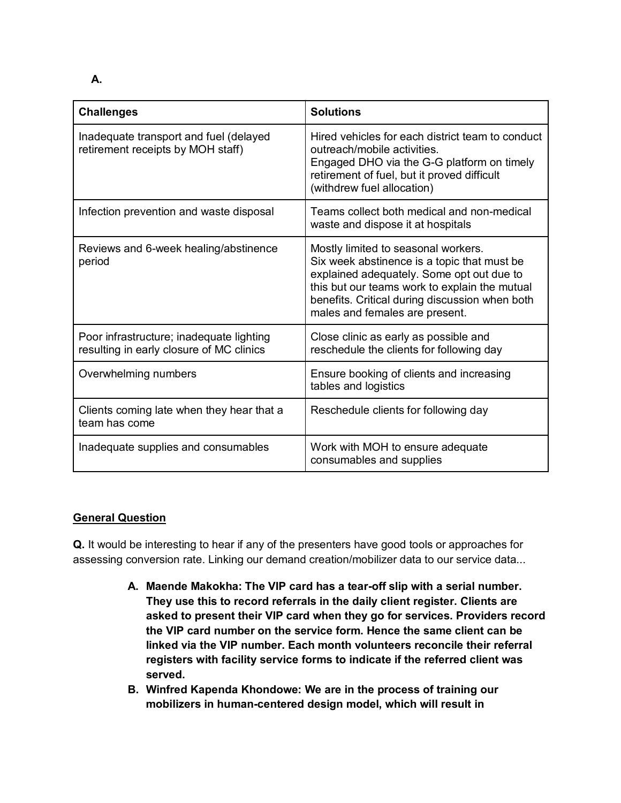**A.**

| <b>Challenges</b>                                                                    | <b>Solutions</b>                                                                                                                                                                                                                                                     |
|--------------------------------------------------------------------------------------|----------------------------------------------------------------------------------------------------------------------------------------------------------------------------------------------------------------------------------------------------------------------|
| Inadequate transport and fuel (delayed<br>retirement receipts by MOH staff)          | Hired vehicles for each district team to conduct<br>outreach/mobile activities.<br>Engaged DHO via the G-G platform on timely<br>retirement of fuel, but it proved difficult<br>(withdrew fuel allocation)                                                           |
| Infection prevention and waste disposal                                              | Teams collect both medical and non-medical<br>waste and dispose it at hospitals                                                                                                                                                                                      |
| Reviews and 6-week healing/abstinence<br>period                                      | Mostly limited to seasonal workers.<br>Six week abstinence is a topic that must be<br>explained adequately. Some opt out due to<br>this but our teams work to explain the mutual<br>benefits. Critical during discussion when both<br>males and females are present. |
| Poor infrastructure; inadequate lighting<br>resulting in early closure of MC clinics | Close clinic as early as possible and<br>reschedule the clients for following day                                                                                                                                                                                    |
| Overwhelming numbers                                                                 | Ensure booking of clients and increasing<br>tables and logistics                                                                                                                                                                                                     |
| Clients coming late when they hear that a<br>team has come                           | Reschedule clients for following day                                                                                                                                                                                                                                 |
| Inadequate supplies and consumables                                                  | Work with MOH to ensure adequate<br>consumables and supplies                                                                                                                                                                                                         |

# **General Question**

**Q.** It would be interesting to hear if any of the presenters have good tools or approaches for assessing conversion rate. Linking our demand creation/mobilizer data to our service data...

- **A. Maende Makokha: The VIP card has a tear-off slip with a serial number. They use this to record referrals in the daily client register. Clients are asked to present their VIP card when they go for services. Providers record the VIP card number on the service form. Hence the same client can be linked via the VIP number. Each month volunteers reconcile their referral registers with facility service forms to indicate if the referred client was served.**
- **B. Winfred Kapenda Khondowe: We are in the process of training our mobilizers in human-centered design model, which will result in**